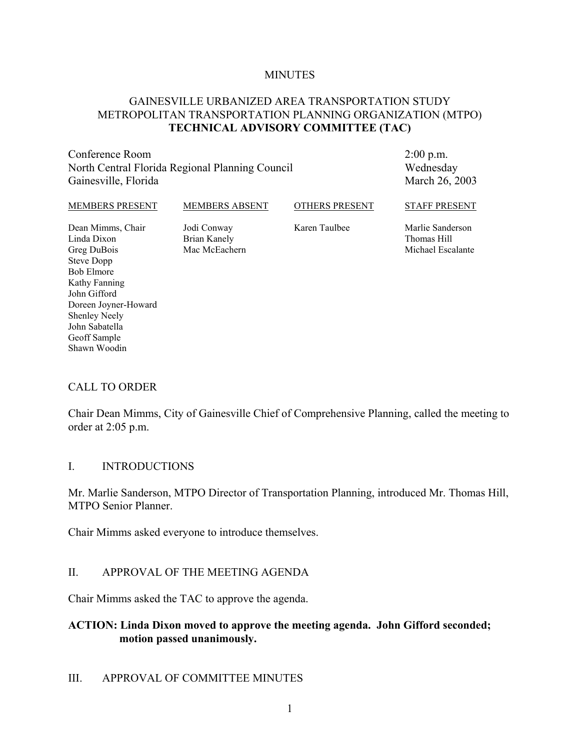#### **MINUTES**

#### GAINESVILLE URBANIZED AREA TRANSPORTATION STUDY METROPOLITAN TRANSPORTATION PLANNING ORGANIZATION (MTPO) **TECHNICAL ADVISORY COMMITTEE (TAC)**

Conference Room North Central Florida Regional Planning Council Gainesville, Florida

2:00 p.m. Wednesday March 26, 2003

| <b>MEMBERS PRESENT</b>                          | <b>MEMBERS ABSENT</b>                        | <b>OTHERS PRESENT</b> | <b>STAFF PRESENT</b>                                 |
|-------------------------------------------------|----------------------------------------------|-----------------------|------------------------------------------------------|
| Dean Mimms, Chair<br>Linda Dixon<br>Greg DuBois | Jodi Conway<br>Brian Kanely<br>Mac McEachern | Karen Taulbee         | Marlie Sanderson<br>Thomas Hill<br>Michael Escalante |
| Steve Dopp                                      |                                              |                       |                                                      |
| <b>Bob Elmore</b>                               |                                              |                       |                                                      |

#### CALL TO ORDER

Doreen Joyner-Howard

Kathy Fanning John Gifford

Shenley Neely John Sabatella Geoff Sample Shawn Woodin

Chair Dean Mimms, City of Gainesville Chief of Comprehensive Planning, called the meeting to order at 2:05 p.m.

#### I. INTRODUCTIONS

Mr. Marlie Sanderson, MTPO Director of Transportation Planning, introduced Mr. Thomas Hill, MTPO Senior Planner.

Chair Mimms asked everyone to introduce themselves.

#### II. APPROVAL OF THE MEETING AGENDA

Chair Mimms asked the TAC to approve the agenda.

#### **ACTION: Linda Dixon moved to approve the meeting agenda. John Gifford seconded; motion passed unanimously.**

#### III. APPROVAL OF COMMITTEE MINUTES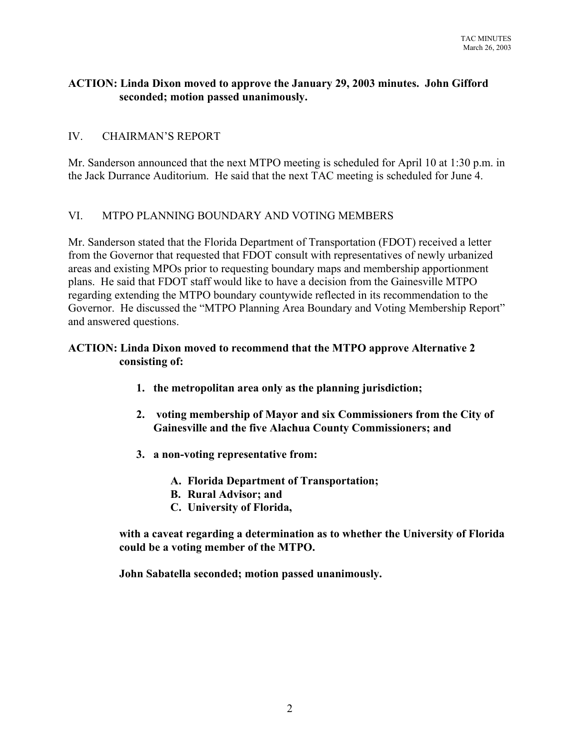## **ACTION: Linda Dixon moved to approve the January 29, 2003 minutes. John Gifford seconded; motion passed unanimously.**

## IV. CHAIRMAN'S REPORT

Mr. Sanderson announced that the next MTPO meeting is scheduled for April 10 at 1:30 p.m. in the Jack Durrance Auditorium. He said that the next TAC meeting is scheduled for June 4.

## VI. MTPO PLANNING BOUNDARY AND VOTING MEMBERS

Mr. Sanderson stated that the Florida Department of Transportation (FDOT) received a letter from the Governor that requested that FDOT consult with representatives of newly urbanized areas and existing MPOs prior to requesting boundary maps and membership apportionment plans. He said that FDOT staff would like to have a decision from the Gainesville MTPO regarding extending the MTPO boundary countywide reflected in its recommendation to the Governor. He discussed the "MTPO Planning Area Boundary and Voting Membership Report" and answered questions.

## **ACTION: Linda Dixon moved to recommend that the MTPO approve Alternative 2 consisting of:**

- **1. the metropolitan area only as the planning jurisdiction;**
- **2. voting membership of Mayor and six Commissioners from the City of Gainesville and the five Alachua County Commissioners; and**
- **3. a non-voting representative from:**
	- **A. Florida Department of Transportation;**
	- **B. Rural Advisor; and**
	- **C. University of Florida,**

**with a caveat regarding a determination as to whether the University of Florida could be a voting member of the MTPO.** 

**John Sabatella seconded; motion passed unanimously.**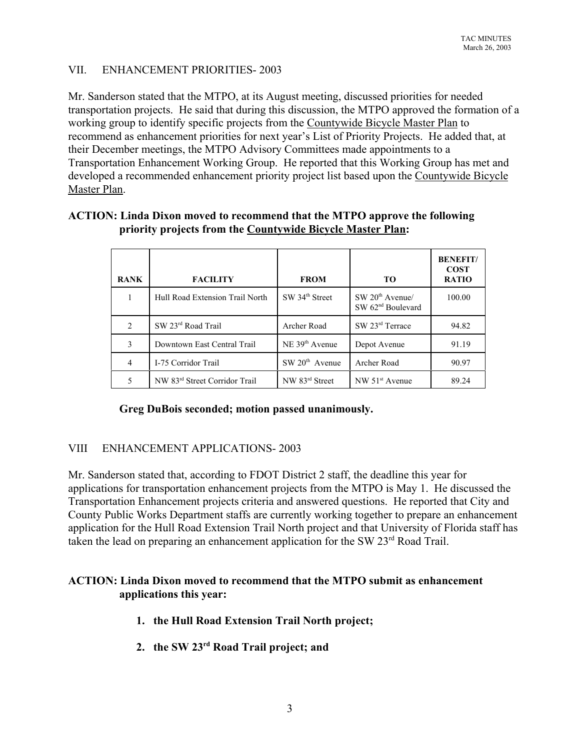## VII. ENHANCEMENT PRIORITIES- 2003

Mr. Sanderson stated that the MTPO, at its August meeting, discussed priorities for needed transportation projects. He said that during this discussion, the MTPO approved the formation of a working group to identify specific projects from the Countywide Bicycle Master Plan to recommend as enhancement priorities for next year's List of Priority Projects. He added that, at their December meetings, the MTPO Advisory Committees made appointments to a Transportation Enhancement Working Group. He reported that this Working Group has met and developed a recommended enhancement priority project list based upon the Countywide Bicycle Master Plan.

# **ACTION: Linda Dixon moved to recommend that the MTPO approve the following priority projects from the Countywide Bicycle Master Plan:**

| <b>RANK</b>        | <b>FACILITY</b>                           | <b>FROM</b>                | TО                                                 | <b>BENEFIT/</b><br><b>COST</b><br><b>RATIO</b> |
|--------------------|-------------------------------------------|----------------------------|----------------------------------------------------|------------------------------------------------|
|                    | Hull Road Extension Trail North           | SW 34 <sup>th</sup> Street | $SW 20th$ Avenue/<br>SW 62 <sup>nd</sup> Boulevard | 100.00                                         |
| $\mathfrak{D}_{1}$ | SW 23rd Road Trail                        | Archer Road                | SW 23rd Terrace                                    | 94.82                                          |
| 3                  | Downtown East Central Trail               | NE 39 <sup>th</sup> Avenue | Depot Avenue                                       | 91.19                                          |
| 4                  | I-75 Corridor Trail                       | $SW 20th$ Avenue           | Archer Road                                        | 90.97                                          |
|                    | NW 83 <sup>rd</sup> Street Corridor Trail | NW 83rd Street             | NW 51 <sup>st</sup> Avenue                         | 89.24                                          |

## **Greg DuBois seconded; motion passed unanimously.**

## VIII ENHANCEMENT APPLICATIONS- 2003

Mr. Sanderson stated that, according to FDOT District 2 staff, the deadline this year for applications for transportation enhancement projects from the MTPO is May 1. He discussed the Transportation Enhancement projects criteria and answered questions. He reported that City and County Public Works Department staffs are currently working together to prepare an enhancement application for the Hull Road Extension Trail North project and that University of Florida staff has taken the lead on preparing an enhancement application for the SW 23<sup>rd</sup> Road Trail.

## **ACTION: Linda Dixon moved to recommend that the MTPO submit as enhancement applications this year:**

- **1. the Hull Road Extension Trail North project;**
- **2. the SW 23rd Road Trail project; and**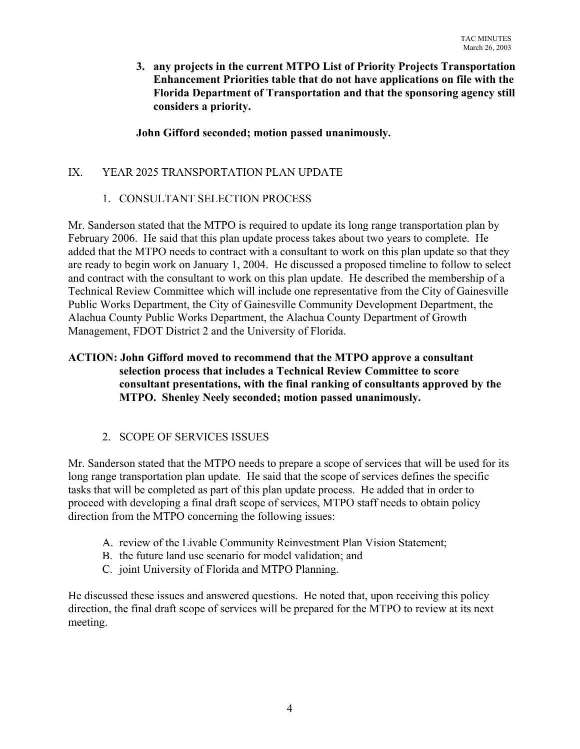**3. any projects in the current MTPO List of Priority Projects Transportation Enhancement Priorities table that do not have applications on file with the Florida Department of Transportation and that the sponsoring agency still considers a priority.** 

**John Gifford seconded; motion passed unanimously.**

# IX. YEAR 2025 TRANSPORTATION PLAN UPDATE

# 1. CONSULTANT SELECTION PROCESS

Mr. Sanderson stated that the MTPO is required to update its long range transportation plan by February 2006. He said that this plan update process takes about two years to complete. He added that the MTPO needs to contract with a consultant to work on this plan update so that they are ready to begin work on January 1, 2004. He discussed a proposed timeline to follow to select and contract with the consultant to work on this plan update. He described the membership of a Technical Review Committee which will include one representative from the City of Gainesville Public Works Department, the City of Gainesville Community Development Department, the Alachua County Public Works Department, the Alachua County Department of Growth Management, FDOT District 2 and the University of Florida.

## **ACTION: John Gifford moved to recommend that the MTPO approve a consultant selection process that includes a Technical Review Committee to score consultant presentations, with the final ranking of consultants approved by the MTPO. Shenley Neely seconded; motion passed unanimously.**

# 2. SCOPE OF SERVICES ISSUES

Mr. Sanderson stated that the MTPO needs to prepare a scope of services that will be used for its long range transportation plan update. He said that the scope of services defines the specific tasks that will be completed as part of this plan update process. He added that in order to proceed with developing a final draft scope of services, MTPO staff needs to obtain policy direction from the MTPO concerning the following issues:

- A. review of the Livable Community Reinvestment Plan Vision Statement;
- B. the future land use scenario for model validation; and
- C. joint University of Florida and MTPO Planning.

He discussed these issues and answered questions. He noted that, upon receiving this policy direction, the final draft scope of services will be prepared for the MTPO to review at its next meeting.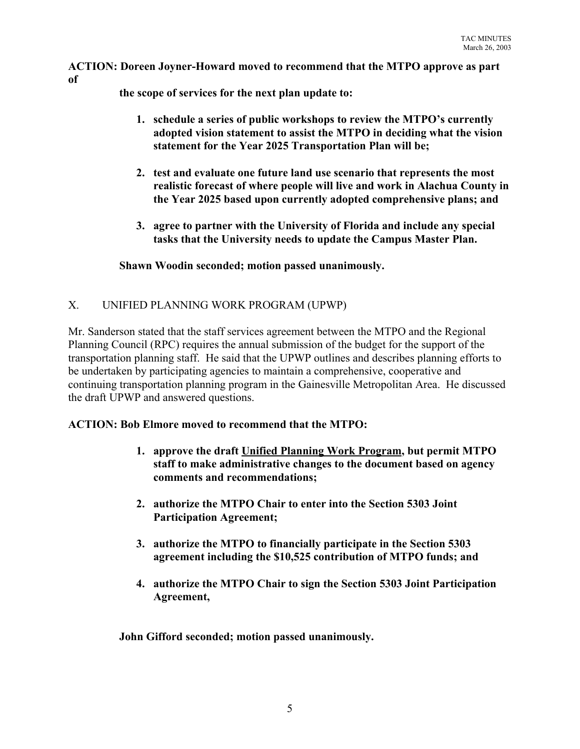**ACTION: Doreen Joyner-Howard moved to recommend that the MTPO approve as part of**

**the scope of services for the next plan update to:**

- **1. schedule a series of public workshops to review the MTPO's currently adopted vision statement to assist the MTPO in deciding what the vision statement for the Year 2025 Transportation Plan will be;**
- **2. test and evaluate one future land use scenario that represents the most realistic forecast of where people will live and work in Alachua County in the Year 2025 based upon currently adopted comprehensive plans; and**
- **3. agree to partner with the University of Florida and include any special tasks that the University needs to update the Campus Master Plan.**

**Shawn Woodin seconded; motion passed unanimously.**

# X. UNIFIED PLANNING WORK PROGRAM (UPWP)

Mr. Sanderson stated that the staff services agreement between the MTPO and the Regional Planning Council (RPC) requires the annual submission of the budget for the support of the transportation planning staff. He said that the UPWP outlines and describes planning efforts to be undertaken by participating agencies to maintain a comprehensive, cooperative and continuing transportation planning program in the Gainesville Metropolitan Area. He discussed the draft UPWP and answered questions.

## **ACTION: Bob Elmore moved to recommend that the MTPO:**

- **1. approve the draft Unified Planning Work Program, but permit MTPO staff to make administrative changes to the document based on agency comments and recommendations;**
- **2. authorize the MTPO Chair to enter into the Section 5303 Joint Participation Agreement;**
- **3. authorize the MTPO to financially participate in the Section 5303 agreement including the \$10,525 contribution of MTPO funds; and**
- **4. authorize the MTPO Chair to sign the Section 5303 Joint Participation Agreement,**

**John Gifford seconded; motion passed unanimously.**